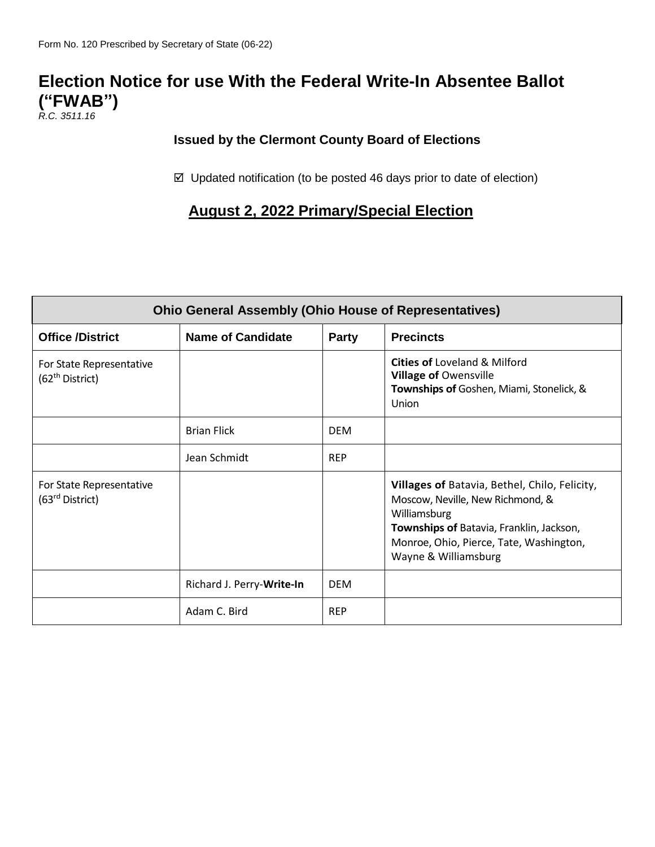## **Election Notice for use With the Federal Write-In Absentee Ballot ("FWAB")**

*R.C. 3511.16*

## **Issued by the Clermont County Board of Elections**

 $\boxtimes$  Updated notification (to be posted 46 days prior to date of election)

## **August 2, 2022 Primary/Special Election**

| <b>Ohio General Assembly (Ohio House of Representatives)</b> |                           |              |                                                                                                                                                                                                                  |  |  |
|--------------------------------------------------------------|---------------------------|--------------|------------------------------------------------------------------------------------------------------------------------------------------------------------------------------------------------------------------|--|--|
| <b>Office /District</b>                                      | <b>Name of Candidate</b>  | <b>Party</b> | <b>Precincts</b>                                                                                                                                                                                                 |  |  |
| For State Representative<br>(62 <sup>th</sup> District)      |                           |              | <b>Cities of Loveland &amp; Milford</b><br><b>Village of Owensville</b><br>Townships of Goshen, Miami, Stonelick, &<br>Union                                                                                     |  |  |
|                                                              | <b>Brian Flick</b>        | <b>DEM</b>   |                                                                                                                                                                                                                  |  |  |
|                                                              | Jean Schmidt              | <b>REP</b>   |                                                                                                                                                                                                                  |  |  |
| For State Representative<br>(63 <sup>rd</sup> District)      |                           |              | Villages of Batavia, Bethel, Chilo, Felicity,<br>Moscow, Neville, New Richmond, &<br>Williamsburg<br>Townships of Batavia, Franklin, Jackson,<br>Monroe, Ohio, Pierce, Tate, Washington,<br>Wayne & Williamsburg |  |  |
|                                                              | Richard J. Perry-Write-In | <b>DEM</b>   |                                                                                                                                                                                                                  |  |  |
|                                                              | Adam C. Bird              | <b>REP</b>   |                                                                                                                                                                                                                  |  |  |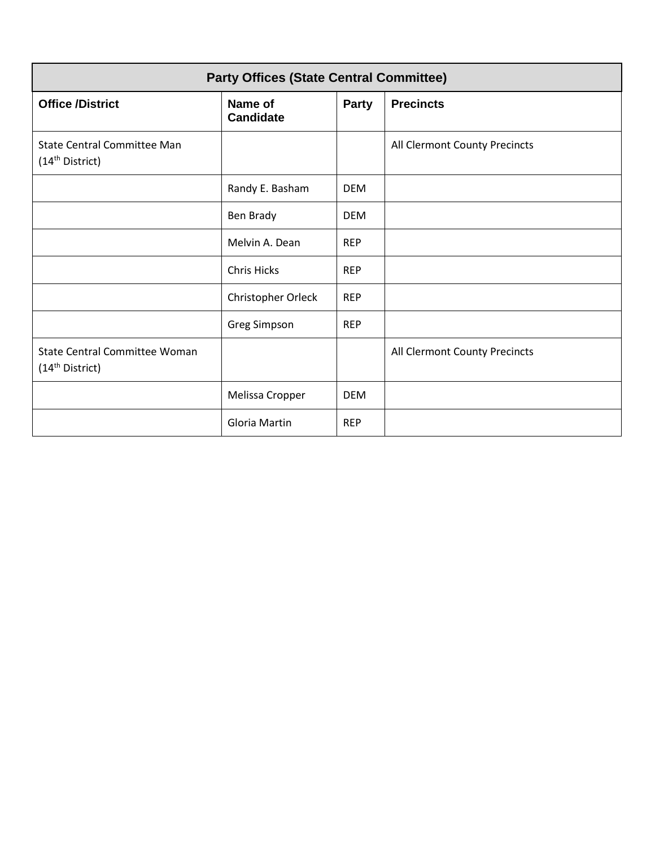| <b>Party Offices (State Central Committee)</b>                      |                             |            |                               |  |
|---------------------------------------------------------------------|-----------------------------|------------|-------------------------------|--|
| <b>Office /District</b>                                             | Name of<br><b>Candidate</b> | Party      | <b>Precincts</b>              |  |
| <b>State Central Committee Man</b><br>(14 <sup>th</sup> District)   |                             |            | All Clermont County Precincts |  |
|                                                                     | Randy E. Basham             | <b>DEM</b> |                               |  |
|                                                                     | Ben Brady                   | <b>DEM</b> |                               |  |
|                                                                     | Melvin A. Dean              | <b>REP</b> |                               |  |
|                                                                     | <b>Chris Hicks</b>          | <b>REP</b> |                               |  |
|                                                                     | Christopher Orleck          | <b>REP</b> |                               |  |
|                                                                     | <b>Greg Simpson</b>         | <b>REP</b> |                               |  |
| <b>State Central Committee Woman</b><br>(14 <sup>th</sup> District) |                             |            | All Clermont County Precincts |  |
|                                                                     | Melissa Cropper             | <b>DEM</b> |                               |  |
|                                                                     | Gloria Martin               | <b>REP</b> |                               |  |